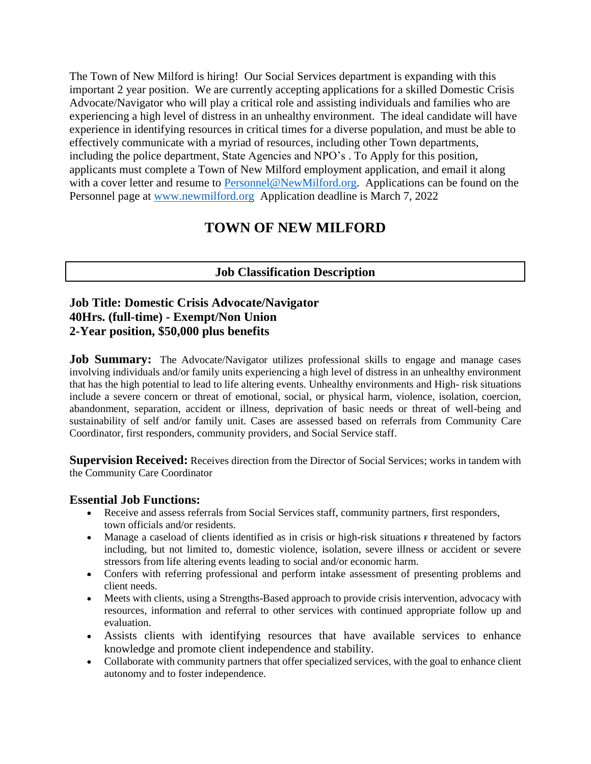The Town of New Milford is hiring! Our Social Services department is expanding with this important 2 year position. We are currently accepting applications for a skilled Domestic Crisis Advocate/Navigator who will play a critical role and assisting individuals and families who are experiencing a high level of distress in an unhealthy environment. The ideal candidate will have experience in identifying resources in critical times for a diverse population, and must be able to effectively communicate with a myriad of resources, including other Town departments, including the police department, State Agencies and NPO's . To Apply for this position, applicants must complete a Town of New Milford employment application, and email it along with a cover letter and resume to [Personnel@NewMilford.org.](mailto:Personnel@NewMilford.org) Applications can be found on the Personnel page at [www.newmilford.org](http://www.newmilford.org/) Application deadline is March 7, 2022

# **TOWN OF NEW MILFORD**

# **Job Classification Description**

## **Job Title: Domestic Crisis Advocate/Navigator 40Hrs. (full-time) - Exempt/Non Union 2-Year position, \$50,000 plus benefits**

**Job Summary:** The Advocate/Navigator utilizes professional skills to engage and manage cases involving individuals and/or family units experiencing a high level of distress in an unhealthy environment that has the high potential to lead to life altering events. Unhealthy environments and High- risk situations include a severe concern or threat of emotional, social, or physical harm, violence, isolation, coercion, abandonment, separation, accident or illness, deprivation of basic needs or threat of well-being and sustainability of self and/or family unit. Cases are assessed based on referrals from Community Care Coordinator, first responders, community providers, and Social Service staff.

**Supervision Received:** Receives direction from the Director of Social Services; works in tandem with the Community Care Coordinator

## **Essential Job Functions:**

- Receive and assess referrals from Social Services staff, community partners, first responders, town officials and/or residents.
- Manage a caseload of clients identified as in crisis or high-risk situations  $\epsilon$  threatened by factors including, but not limited to, domestic violence, isolation, severe illness or accident or severe stressors from life altering events leading to social and/or economic harm.
- Confers with referring professional and perform intake assessment of presenting problems and client needs.
- Meets with clients, using a Strengths-Based approach to provide crisis intervention, advocacy with resources, information and referral to other services with continued appropriate follow up and evaluation.
- Assists clients with identifying resources that have available services to enhance knowledge and promote client independence and stability.
- Collaborate with community partners that offer specialized services, with the goal to enhance client autonomy and to foster independence.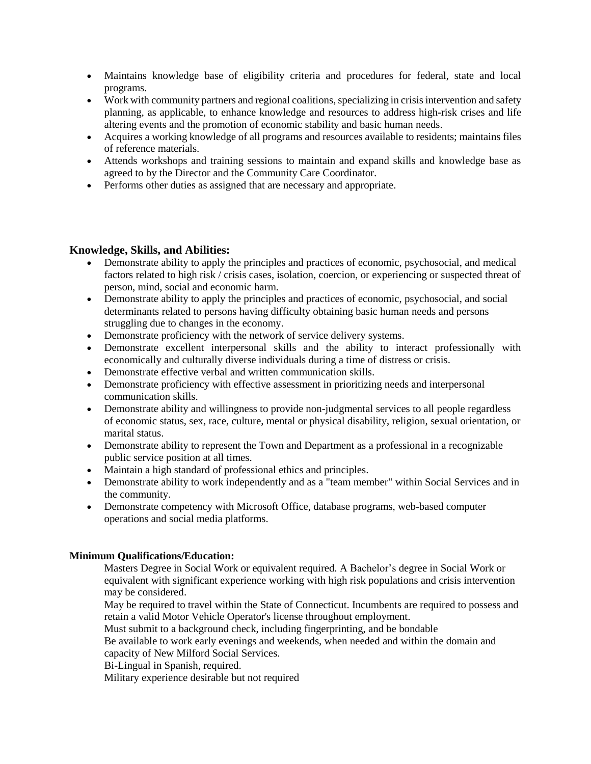- Maintains knowledge base of eligibility criteria and procedures for federal, state and local programs.
- Work with community partners and regional coalitions, specializing in crisis intervention and safety planning, as applicable, to enhance knowledge and resources to address high-risk crises and life altering events and the promotion of economic stability and basic human needs.
- Acquires a working knowledge of all programs and resources available to residents; maintains files of reference materials.
- Attends workshops and training sessions to maintain and expand skills and knowledge base as agreed to by the Director and the Community Care Coordinator.
- Performs other duties as assigned that are necessary and appropriate.

### **Knowledge, Skills, and Abilities:**

- Demonstrate ability to apply the principles and practices of economic, psychosocial, and medical factors related to high risk / crisis cases, isolation, coercion, or experiencing or suspected threat of person, mind, social and economic harm.
- Demonstrate ability to apply the principles and practices of economic, psychosocial, and social determinants related to persons having difficulty obtaining basic human needs and persons struggling due to changes in the economy.
- Demonstrate proficiency with the network of service delivery systems.
- Demonstrate excellent interpersonal skills and the ability to interact professionally with economically and culturally diverse individuals during a time of distress or crisis.
- Demonstrate effective verbal and written communication skills.
- Demonstrate proficiency with effective assessment in prioritizing needs and interpersonal communication skills.
- Demonstrate ability and willingness to provide non-judgmental services to all people regardless of economic status, sex, race, culture, mental or physical disability, religion, sexual orientation, or marital status.
- Demonstrate ability to represent the Town and Department as a professional in a recognizable public service position at all times.
- Maintain a high standard of professional ethics and principles.
- Demonstrate ability to work independently and as a "team member" within Social Services and in the community.
- Demonstrate competency with Microsoft Office, database programs, web-based computer operations and social media platforms.

### **Minimum Qualifications/Education:**

Masters Degree in Social Work or equivalent required. A Bachelor's degree in Social Work or equivalent with significant experience working with high risk populations and crisis intervention may be considered.

May be required to travel within the State of Connecticut. Incumbents are required to possess and retain a valid Motor Vehicle Operator's license throughout employment.

Must submit to a background check, including fingerprinting, and be bondable

Be available to work early evenings and weekends, when needed and within the domain and capacity of New Milford Social Services.

Bi-Lingual in Spanish, required.

Military experience desirable but not required